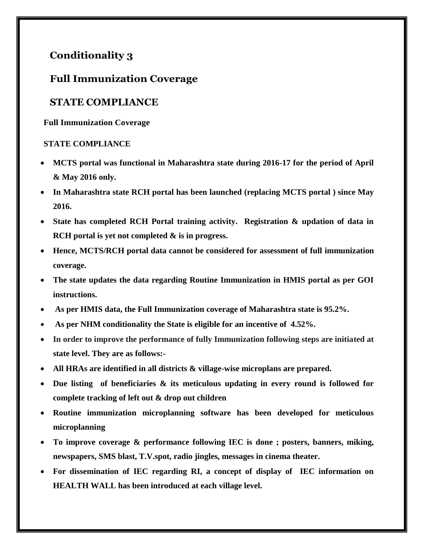## **Conditionality 3**

## **Full Immunization Coverage**

## **STATE COMPLIANCE**

**Full Immunization Coverage** 

## **STATE COMPLIANCE**

- **MCTS portal was functional in Maharashtra state during 2016-17 for the period of April & May 2016 only.**
- **In Maharashtra state RCH portal has been launched (replacing MCTS portal ) since May 2016.**
- **State has completed RCH Portal training activity. Registration & updation of data in RCH portal is yet not completed & is in progress.**
- **Hence, MCTS/RCH portal data cannot be considered for assessment of full immunization coverage.**
- **The state updates the data regarding Routine Immunization in HMIS portal as per GOI instructions.**
- **As per HMIS data, the Full Immunization coverage of Maharashtra state is 95.2%.**
- **As per NHM conditionality the State is eligible for an incentive of 4.52%.**
- **In order to improve the performance of fully Immunization following steps are initiated at state level. They are as follows:-**
- **All HRAs are identified in all districts & village-wise microplans are prepared.**
- **Due listing of beneficiaries & its meticulous updating in every round is followed for complete tracking of left out & drop out children**
- **Routine immunization microplanning software has been developed for meticulous microplanning**
- **To improve coverage & performance following IEC is done ; posters, banners, miking, newspapers, SMS blast, T.V.spot, radio jingles, messages in cinema theater.**
- **For dissemination of IEC regarding RI, a concept of display of IEC information on HEALTH WALL has been introduced at each village level.**